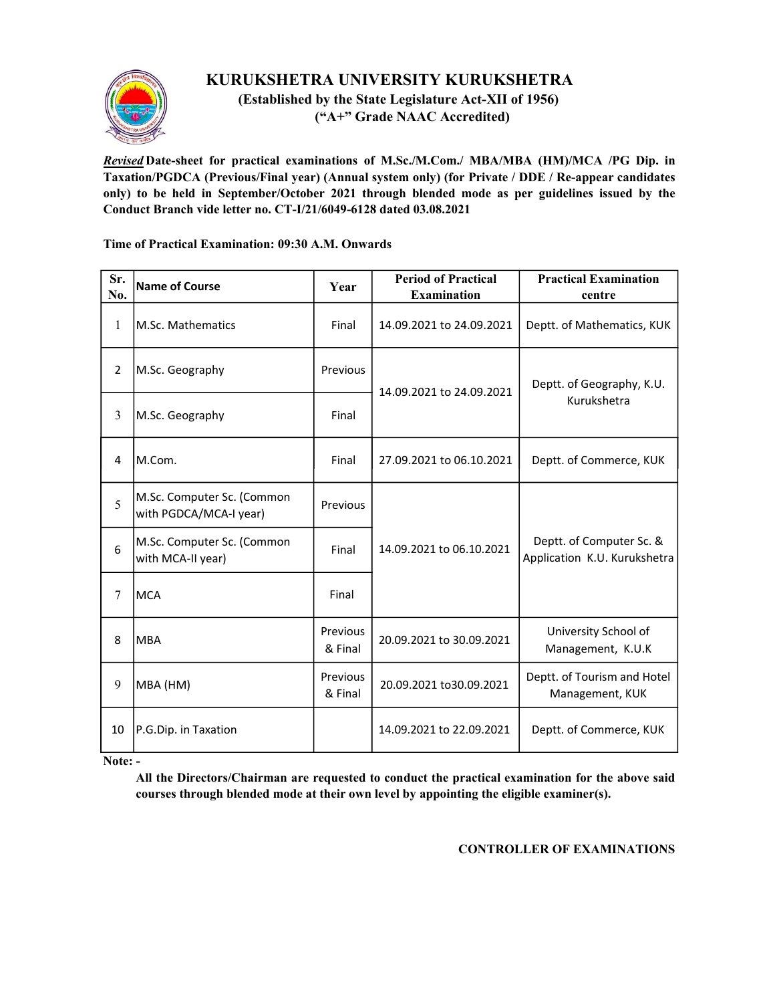

## KURUKSHETRA UNIVERSITY KURUKSHETRA

 (Established by the State Legislature Act-XII of 1956) ("A+" Grade NAAC Accredited)

Revised Date-sheet for practical examinations of M.Sc./M.Com./ MBA/MBA (HM)/MCA /PG Dip. in Taxation/PGDCA (Previous/Final year) (Annual system only) (for Private / DDE / Re-appear candidates only) to be held in September/October 2021 through blended mode as per guidelines issued by the Conduct Branch vide letter no. CT-I/21/6049-6128 dated 03.08.2021

## Time of Practical Examination: 09:30 A.M. Onwards

| Sr.<br>No.   | <b>Name of Course</b>                                | Year                | <b>Period of Practical</b><br><b>Examination</b> | <b>Practical Examination</b><br>centre                   |
|--------------|------------------------------------------------------|---------------------|--------------------------------------------------|----------------------------------------------------------|
| $\mathbf{1}$ | M.Sc. Mathematics                                    | Final               | 14.09.2021 to 24.09.2021                         | Deptt. of Mathematics, KUK                               |
| 2            | M.Sc. Geography                                      | Previous            | 14.09.2021 to 24.09.2021                         | Deptt. of Geography, K.U.<br>Kurukshetra                 |
| 3            | M.Sc. Geography                                      | Final               |                                                  |                                                          |
| 4            | M.Com.                                               | Final               | 27.09.2021 to 06.10.2021                         | Deptt. of Commerce, KUK                                  |
| 5            | M.Sc. Computer Sc. (Common<br>with PGDCA/MCA-I year) | Previous            | 14.09.2021 to 06.10.2021                         | Deptt. of Computer Sc. &<br>Application K.U. Kurukshetra |
| 6            | M.Sc. Computer Sc. (Common<br>with MCA-II year)      | Final               |                                                  |                                                          |
| 7            | <b>MCA</b>                                           | Final               |                                                  |                                                          |
| 8            | <b>MBA</b>                                           | Previous<br>& Final | 20.09.2021 to 30.09.2021                         | University School of<br>Management, K.U.K                |
| 9            | MBA (HM)                                             | Previous<br>& Final | 20.09.2021 to 30.09.2021                         | Deptt. of Tourism and Hotel<br>Management, KUK           |
| 10           | P.G.Dip. in Taxation                                 |                     | 14.09.2021 to 22.09.2021                         | Deptt. of Commerce, KUK                                  |

Note: -

All the Directors/Chairman are requested to conduct the practical examination for the above said courses through blended mode at their own level by appointing the eligible examiner(s).

CONTROLLER OF EXAMINATIONS